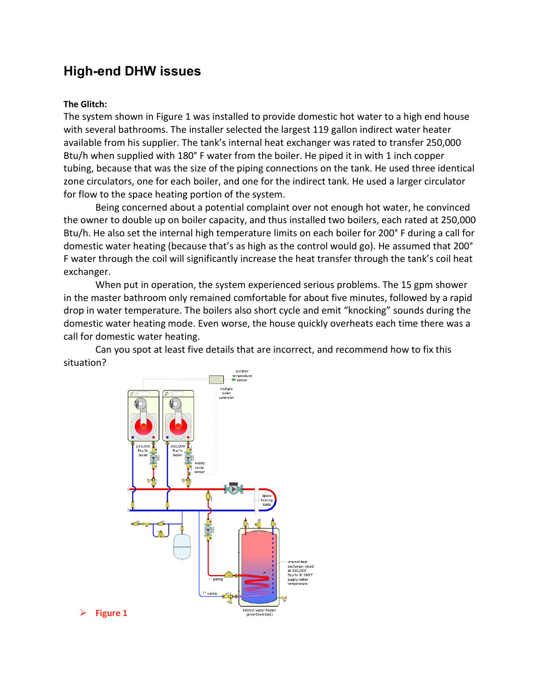# **High-end DHW issues**

### **The Glitch:**

The system shown in Figure 1 was installed to provide domestic hot water to a high end house with several bathrooms. The installer selected the largest 119 gallon indirect water heater available from his supplier. The tank's internal heat exchanger was rated to transfer 250,000 Btu/h when supplied with 180° F water from the boiler. He piped it in with 1 inch copper tubing, because that was the size of the piping connections on the tank. He used three identical zone circulators, one for each boiler, and one for the indirect tank. He used a larger circulator for flow to the space heating portion of the system.

Being concerned about a potential complaint over not enough hot water, he convinced the owner to double up on boiler capacity, and thus installed two boilers, each rated at 250,000 Btu/h. He also set the internal high temperature limits on each boiler for 200° F during a call for domestic water heating (because that's as high as the control would go). He assumed that 200° F water through the coil will significantly increase the heat transfer through the tank's coil heat exchanger.

When put in operation, the system experienced serious problems. The 15 gpm shower in the master bathroom only remained comfortable for about five minutes, followed by a rapid drop in water temperature. The boilers also short cycle and emit "knocking" sounds during the domestic water heating mode. Even worse, the house quickly overheats each time there was a call for domestic water heating.

Can you spot at least five details that are incorrect, and recommend how to fix this situation?

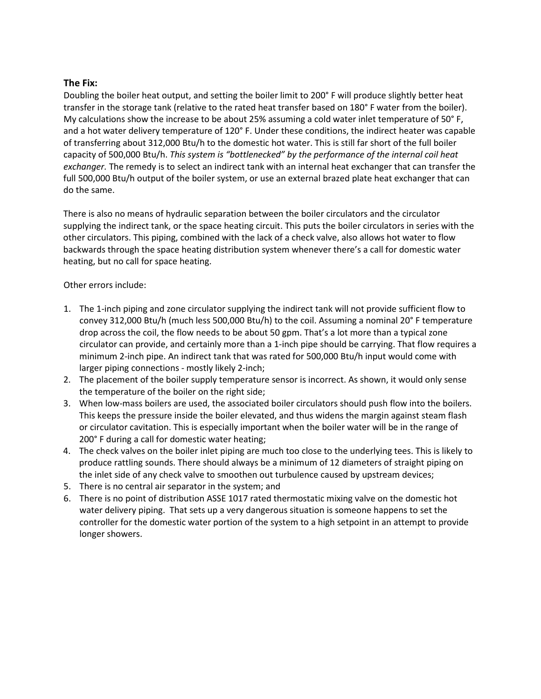## **The Fix:**

Doubling the boiler heat output, and setting the boiler limit to 200° F will produce slightly better heat transfer in the storage tank (relative to the rated heat transfer based on 180° F water from the boiler). My calculations show the increase to be about 25% assuming a cold water inlet temperature of 50° F, and a hot water delivery temperature of 120° F. Under these conditions, the indirect heater was capable of transferring about 312,000 Btu/h to the domestic hot water. This is still far short of the full boiler capacity of 500,000 Btu/h. *This system is "bottlenecked" by the performance of the internal coil heat exchanger.* The remedy is to select an indirect tank with an internal heat exchanger that can transfer the full 500,000 Btu/h output of the boiler system, or use an external brazed plate heat exchanger that can do the same.

There is also no means of hydraulic separation between the boiler circulators and the circulator supplying the indirect tank, or the space heating circuit. This puts the boiler circulators in series with the other circulators. This piping, combined with the lack of a check valve, also allows hot water to flow backwards through the space heating distribution system whenever there's a call for domestic water heating, but no call for space heating.

## Other errors include:

- 1. The 1-inch piping and zone circulator supplying the indirect tank will not provide sufficient flow to convey 312,000 Btu/h (much less 500,000 Btu/h) to the coil. Assuming a nominal 20° F temperature drop across the coil, the flow needs to be about 50 gpm. That's a lot more than a typical zone circulator can provide, and certainly more than a 1-inch pipe should be carrying. That flow requires a minimum 2-inch pipe. An indirect tank that was rated for 500,000 Btu/h input would come with larger piping connections - mostly likely 2-inch;
- 2. The placement of the boiler supply temperature sensor is incorrect. As shown, it would only sense the temperature of the boiler on the right side;
- 3. When low-mass boilers are used, the associated boiler circulators should push flow into the boilers. This keeps the pressure inside the boiler elevated, and thus widens the margin against steam flash or circulator cavitation. This is especially important when the boiler water will be in the range of 200° F during a call for domestic water heating;
- 4. The check valves on the boiler inlet piping are much too close to the underlying tees. This is likely to produce rattling sounds. There should always be a minimum of 12 diameters of straight piping on the inlet side of any check valve to smoothen out turbulence caused by upstream devices;
- 5. There is no central air separator in the system; and
- 6. There is no point of distribution ASSE 1017 rated thermostatic mixing valve on the domestic hot water delivery piping. That sets up a very dangerous situation is someone happens to set the controller for the domestic water portion of the system to a high setpoint in an attempt to provide longer showers.